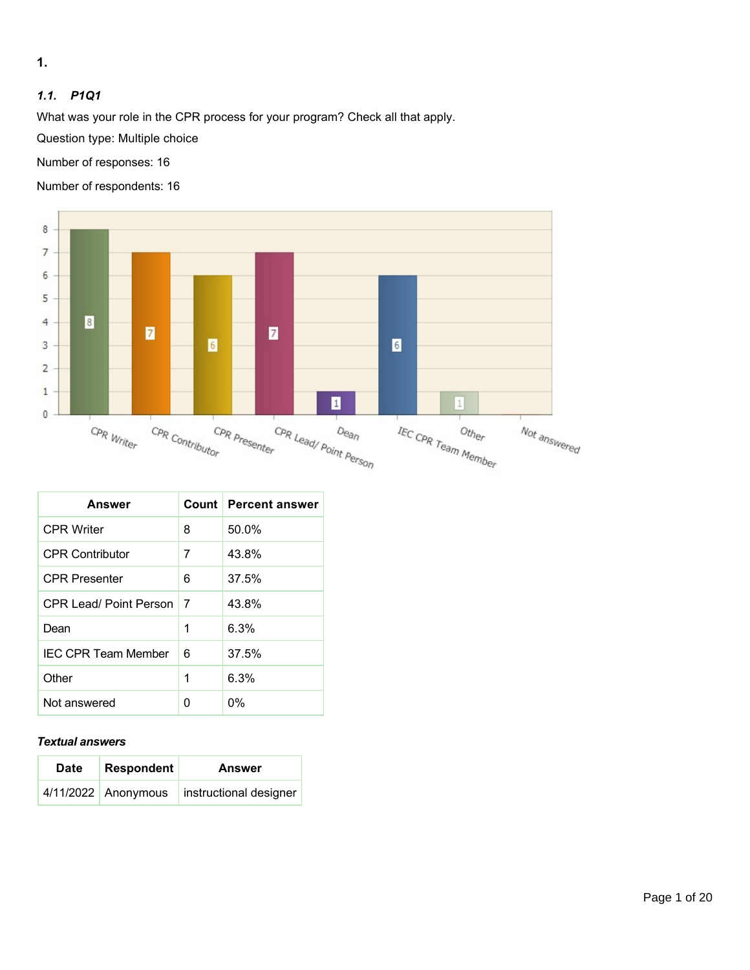**1.** 

# *1.1. P1Q1*

What was your role in the CPR process for your program? Check all that apply.

Question type: Multiple choice

Number of responses: 16

Number of respondents: 16



| <b>Answer</b>              |    | Count   Percent answer |
|----------------------------|----|------------------------|
| <b>CPR Writer</b>          | 8  | $50.0\%$               |
| <b>CPR Contributor</b>     | 7  | 43.8%                  |
| <b>CPR Presenter</b>       | 6  | 37.5%                  |
| CPR Lead/ Point Person     | -7 | 43.8%                  |
| Dean                       | 1  | 6.3%                   |
| <b>IFC CPR Team Member</b> | 6  | 37.5%                  |
| Other                      | 1  | 6.3%                   |
| Not answered               | O  | 0%                     |

#### *Textual answers*

| <b>Date</b> | Respondent          | <b>Answer</b>          |
|-------------|---------------------|------------------------|
|             | 4/11/2022 Anonymous | instructional designer |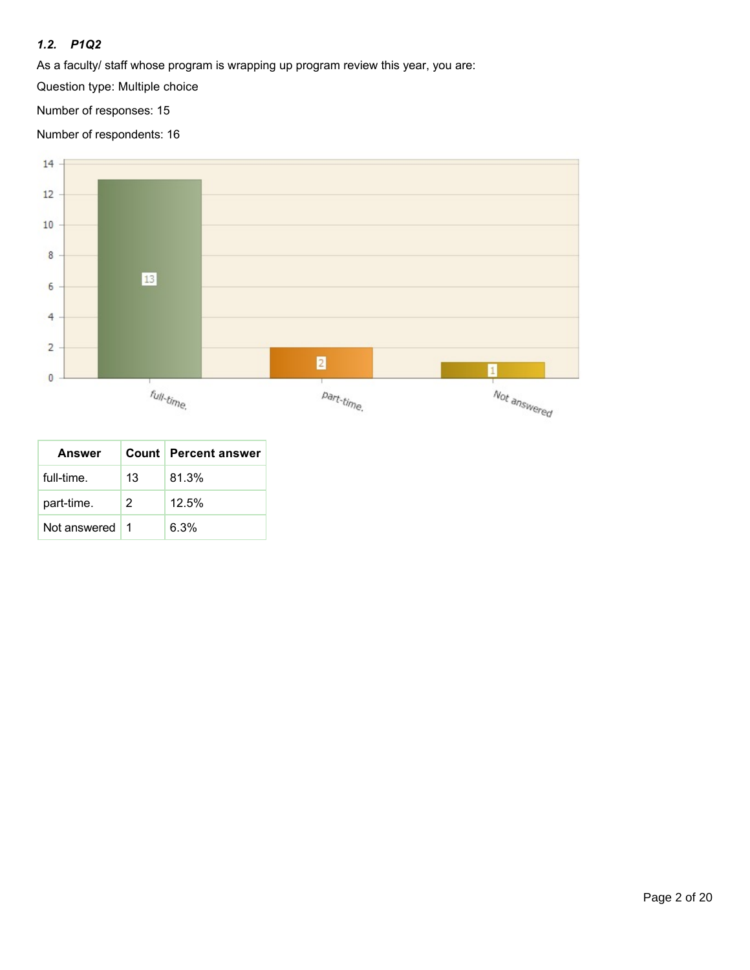## *1.2. P1Q2*

As a faculty/ staff whose program is wrapping up program review this year, you are:

Question type: Multiple choice

Number of responses: 15

Number of respondents: 16



| <b>Answer</b> |    | <b>Count   Percent answer</b> |
|---------------|----|-------------------------------|
| full-time.    | 13 | 81.3%                         |
| part-time.    | 2  | 12.5%                         |
| Not answered  |    | 6.3%                          |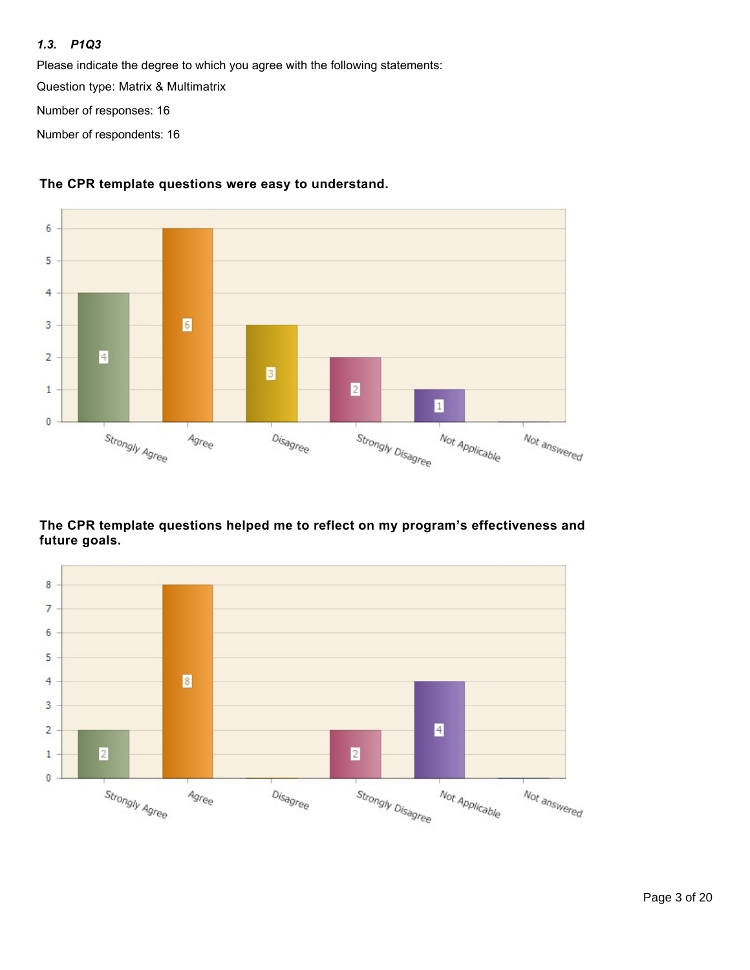#### *1.3. P1Q3*

Please indicate the degree to which you agree with the following statements:

Question type: Matrix & Multimatrix

Number of responses: 16

Number of respondents: 16



## **The CPR template questions were easy to understand.**

### **The CPR template questions helped me to reflect on my program's effectiveness and future goals.**

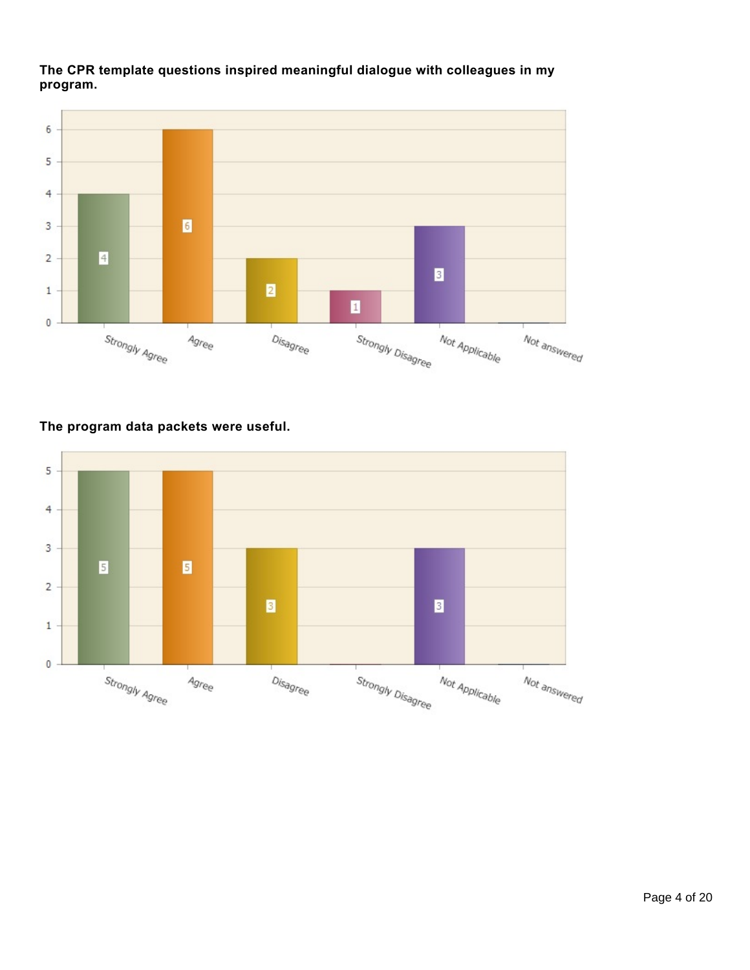**The CPR template questions inspired meaningful dialogue with colleagues in my program.**



# **The program data packets were useful.**

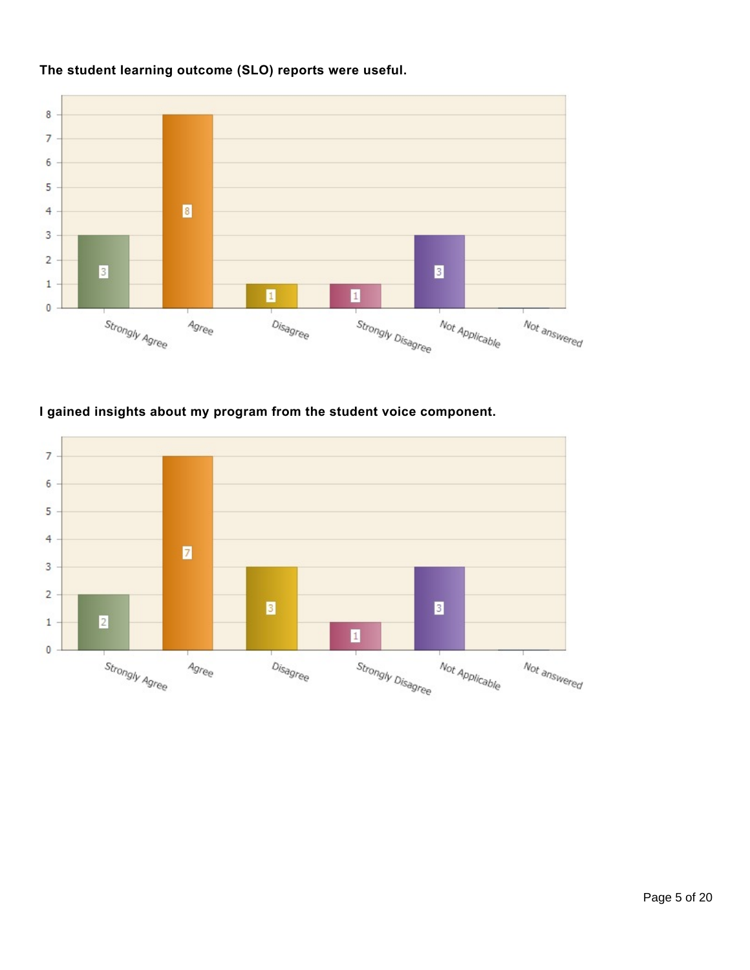

# **The student learning outcome (SLO) reports were useful.**

# **I gained insights about my program from the student voice component.**

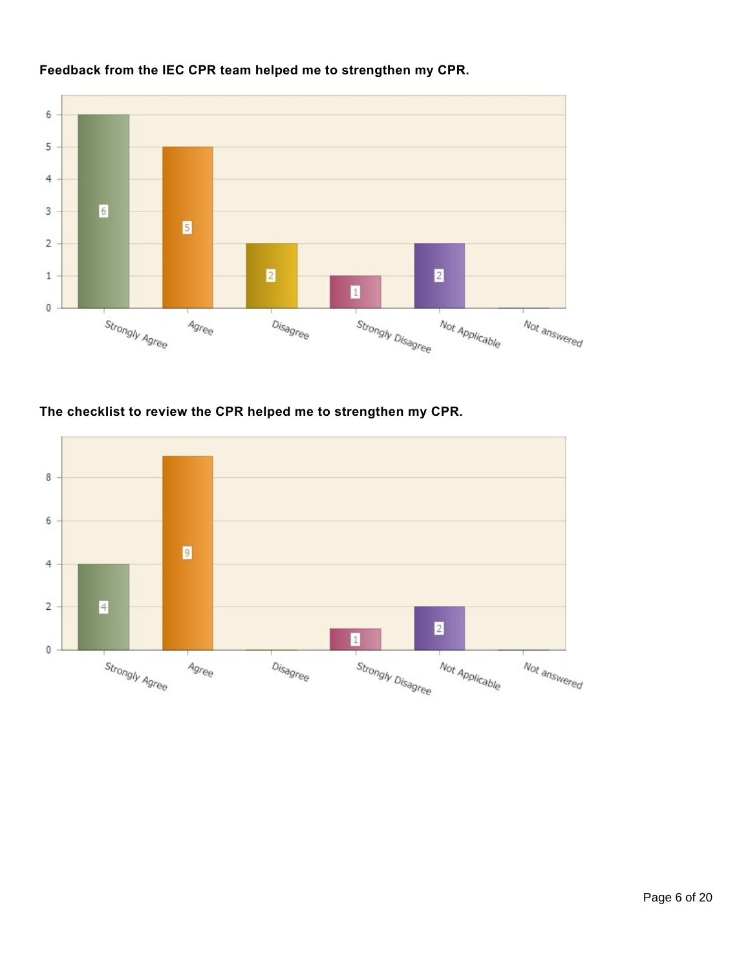

# **Feedback from the IEC CPR team helped me to strengthen my CPR.**

# **The checklist to review the CPR helped me to strengthen my CPR.**

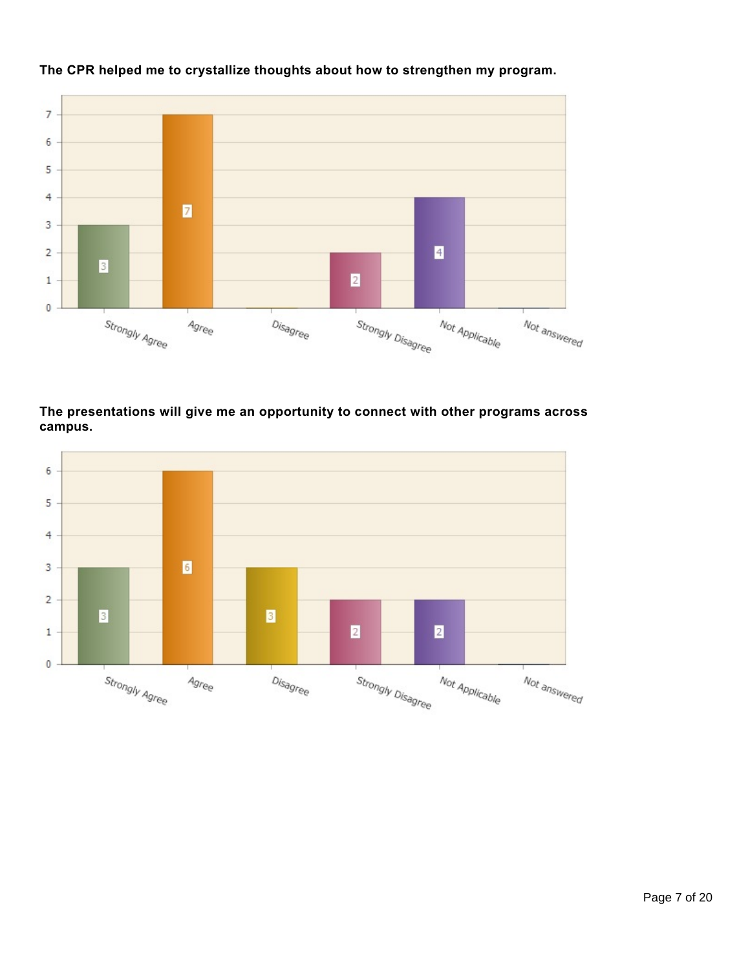

# **The CPR helped me to crystallize thoughts about how to strengthen my program.**

# **The presentations will give me an opportunity to connect with other programs across campus.**

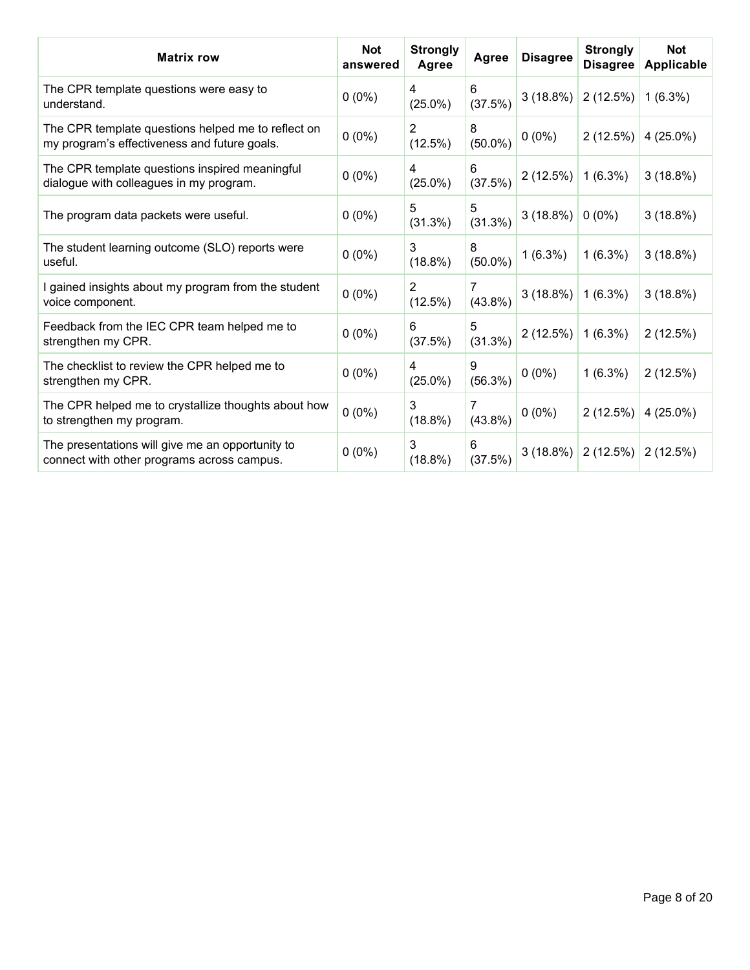| <b>Matrix row</b>                                                                                  | <b>Not</b><br>answered | <b>Strongly</b><br>Agree | Agree           | <b>Disagree</b> | <b>Strongly</b><br><b>Disagree</b> | <b>Not</b><br><b>Applicable</b> |
|----------------------------------------------------------------------------------------------------|------------------------|--------------------------|-----------------|-----------------|------------------------------------|---------------------------------|
| The CPR template questions were easy to<br>understand.                                             | $0(0\%)$               | 4<br>$(25.0\%)$          | 6<br>(37.5%)    | 3(18.8%)        | 2(12.5%)                           | $1(6.3\%)$                      |
| The CPR template questions helped me to reflect on<br>my program's effectiveness and future goals. | $0(0\%)$               | 2<br>(12.5%)             | 8<br>$(50.0\%)$ | $0(0\%)$        | 2(12.5%)                           | 4 (25.0%)                       |
| The CPR template questions inspired meaningful<br>dialogue with colleagues in my program.          | $0(0\%)$               | 4<br>$(25.0\%)$          | 6<br>(37.5%)    | 2(12.5%)        | 1(6.3%)                            | $3(18.8\%)$                     |
| The program data packets were useful.                                                              | $0(0\%)$               | 5<br>(31.3%)             | 5<br>(31.3%)    | 3(18.8%)        | $0(0\%)$                           | 3(18.8%)                        |
| The student learning outcome (SLO) reports were<br>useful.                                         | $0(0\%)$               | 3<br>(18.8%)             | 8<br>$(50.0\%)$ | $1(6.3\%)$      | $1(6.3\%)$                         | 3(18.8%)                        |
| I gained insights about my program from the student<br>voice component.                            | $0(0\%)$               | 2<br>(12.5%)             | 7<br>$(43.8\%)$ | 3(18.8%)        | $1(6.3\%)$                         | 3(18.8%)                        |
| Feedback from the IEC CPR team helped me to<br>strengthen my CPR.                                  | $0(0\%)$               | 6<br>(37.5%)             | 5<br>(31.3%)    | 2(12.5%)        | $1(6.3\%)$                         | 2(12.5%)                        |
| The checklist to review the CPR helped me to<br>strengthen my CPR.                                 | $0(0\%)$               | 4<br>$(25.0\%)$          | 9<br>$(56.3\%)$ | $0(0\%)$        | $1(6.3\%)$                         | 2(12.5%)                        |
| The CPR helped me to crystallize thoughts about how<br>to strengthen my program.                   | $0(0\%)$               | 3<br>(18.8%)             | 7<br>$(43.8\%)$ | $0(0\%)$        | 2(12.5%)                           | 4 (25.0%)                       |
| The presentations will give me an opportunity to<br>connect with other programs across campus.     | $0(0\%)$               | 3<br>(18.8%)             | 6<br>(37.5%)    | $3(18.8\%)$     | 2(12.5%)                           | 2(12.5%)                        |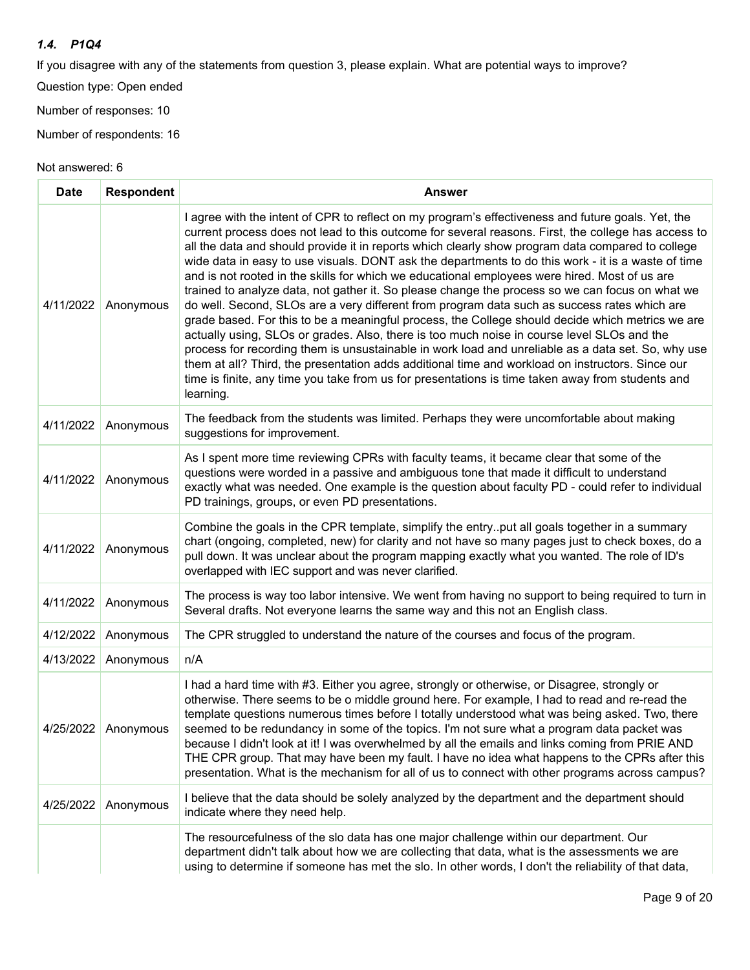### *1.4. P1Q4*

If you disagree with any of the statements from question 3, please explain. What are potential ways to improve?

Question type: Open ended

Number of responses: 10

Number of respondents: 16

| <b>Date</b> | <b>Respondent</b>     | <b>Answer</b>                                                                                                                                                                                                                                                                                                                                                                                                                                                                                                                                                                                                                                                                                                                                                                                                                                                                                                                                                                                                                                                                                                                                                                                                                                         |
|-------------|-----------------------|-------------------------------------------------------------------------------------------------------------------------------------------------------------------------------------------------------------------------------------------------------------------------------------------------------------------------------------------------------------------------------------------------------------------------------------------------------------------------------------------------------------------------------------------------------------------------------------------------------------------------------------------------------------------------------------------------------------------------------------------------------------------------------------------------------------------------------------------------------------------------------------------------------------------------------------------------------------------------------------------------------------------------------------------------------------------------------------------------------------------------------------------------------------------------------------------------------------------------------------------------------|
| 4/11/2022   | Anonymous             | I agree with the intent of CPR to reflect on my program's effectiveness and future goals. Yet, the<br>current process does not lead to this outcome for several reasons. First, the college has access to<br>all the data and should provide it in reports which clearly show program data compared to college<br>wide data in easy to use visuals. DONT ask the departments to do this work - it is a waste of time<br>and is not rooted in the skills for which we educational employees were hired. Most of us are<br>trained to analyze data, not gather it. So please change the process so we can focus on what we<br>do well. Second, SLOs are a very different from program data such as success rates which are<br>grade based. For this to be a meaningful process, the College should decide which metrics we are<br>actually using, SLOs or grades. Also, there is too much noise in course level SLOs and the<br>process for recording them is unsustainable in work load and unreliable as a data set. So, why use<br>them at all? Third, the presentation adds additional time and workload on instructors. Since our<br>time is finite, any time you take from us for presentations is time taken away from students and<br>learning. |
| 4/11/2022   | Anonymous             | The feedback from the students was limited. Perhaps they were uncomfortable about making<br>suggestions for improvement.                                                                                                                                                                                                                                                                                                                                                                                                                                                                                                                                                                                                                                                                                                                                                                                                                                                                                                                                                                                                                                                                                                                              |
| 4/11/2022   | Anonymous             | As I spent more time reviewing CPRs with faculty teams, it became clear that some of the<br>questions were worded in a passive and ambiguous tone that made it difficult to understand<br>exactly what was needed. One example is the question about faculty PD - could refer to individual<br>PD trainings, groups, or even PD presentations.                                                                                                                                                                                                                                                                                                                                                                                                                                                                                                                                                                                                                                                                                                                                                                                                                                                                                                        |
| 4/11/2022   | Anonymous             | Combine the goals in the CPR template, simplify the entryput all goals together in a summary<br>chart (ongoing, completed, new) for clarity and not have so many pages just to check boxes, do a<br>pull down. It was unclear about the program mapping exactly what you wanted. The role of ID's<br>overlapped with IEC support and was never clarified.                                                                                                                                                                                                                                                                                                                                                                                                                                                                                                                                                                                                                                                                                                                                                                                                                                                                                             |
| 4/11/2022   | Anonymous             | The process is way too labor intensive. We went from having no support to being required to turn in<br>Several drafts. Not everyone learns the same way and this not an English class.                                                                                                                                                                                                                                                                                                                                                                                                                                                                                                                                                                                                                                                                                                                                                                                                                                                                                                                                                                                                                                                                |
| 4/12/2022   | Anonymous             | The CPR struggled to understand the nature of the courses and focus of the program.                                                                                                                                                                                                                                                                                                                                                                                                                                                                                                                                                                                                                                                                                                                                                                                                                                                                                                                                                                                                                                                                                                                                                                   |
| 4/13/2022   | Anonymous             | n/A                                                                                                                                                                                                                                                                                                                                                                                                                                                                                                                                                                                                                                                                                                                                                                                                                                                                                                                                                                                                                                                                                                                                                                                                                                                   |
|             | 4/25/2022   Anonymous | I had a hard time with #3. Either you agree, strongly or otherwise, or Disagree, strongly or<br>otherwise. There seems to be o middle ground here. For example, I had to read and re-read the<br>template questions numerous times before I totally understood what was being asked. Two, there<br>seemed to be redundancy in some of the topics. I'm not sure what a program data packet was<br>because I didn't look at it! I was overwhelmed by all the emails and links coming from PRIE AND<br>THE CPR group. That may have been my fault. I have no idea what happens to the CPRs after this<br>presentation. What is the mechanism for all of us to connect with other programs across campus?                                                                                                                                                                                                                                                                                                                                                                                                                                                                                                                                                 |
| 4/25/2022   | Anonymous             | I believe that the data should be solely analyzed by the department and the department should<br>indicate where they need help.                                                                                                                                                                                                                                                                                                                                                                                                                                                                                                                                                                                                                                                                                                                                                                                                                                                                                                                                                                                                                                                                                                                       |
|             |                       | The resourcefulness of the slo data has one major challenge within our department. Our<br>department didn't talk about how we are collecting that data, what is the assessments we are<br>using to determine if someone has met the slo. In other words, I don't the reliability of that data,                                                                                                                                                                                                                                                                                                                                                                                                                                                                                                                                                                                                                                                                                                                                                                                                                                                                                                                                                        |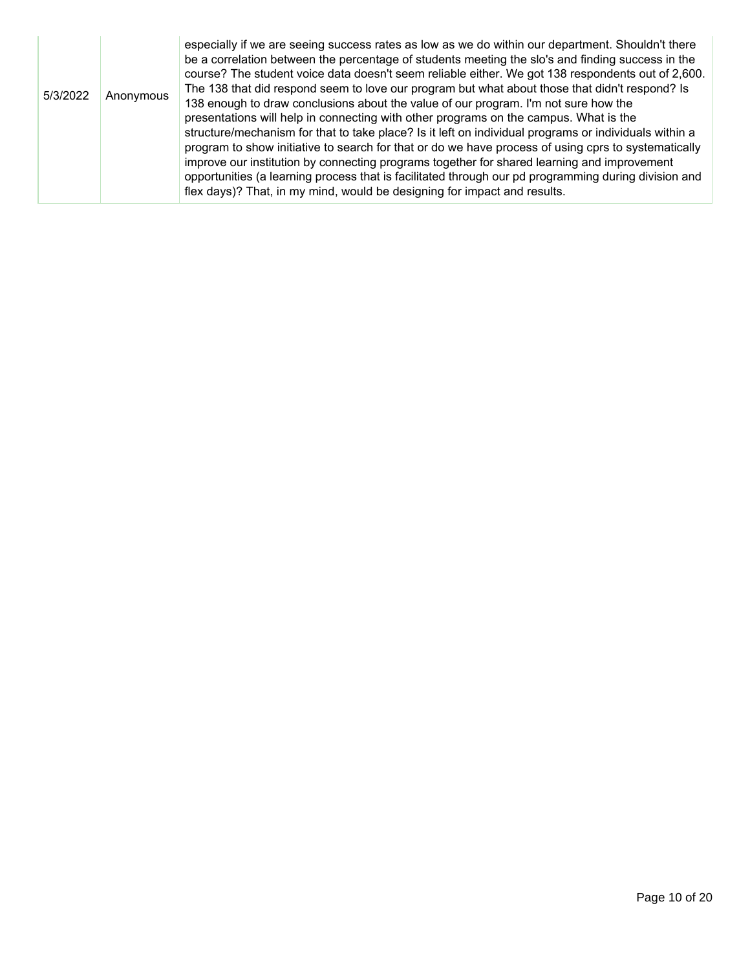| 5/3/2022 | Anonymous | especially if we are seeing success rates as low as we do within our department. Shouldn't there<br>be a correlation between the percentage of students meeting the slo's and finding success in the<br>course? The student voice data doesn't seem reliable either. We got 138 respondents out of 2,600.<br>The 138 that did respond seem to love our program but what about those that didn't respond? Is<br>138 enough to draw conclusions about the value of our program. I'm not sure how the<br>presentations will help in connecting with other programs on the campus. What is the<br>structure/mechanism for that to take place? Is it left on individual programs or individuals within a<br>program to show initiative to search for that or do we have process of using cprs to systematically<br>improve our institution by connecting programs together for shared learning and improvement<br>opportunities (a learning process that is facilitated through our pd programming during division and<br>flex days)? That, in my mind, would be designing for impact and results. |
|----------|-----------|-----------------------------------------------------------------------------------------------------------------------------------------------------------------------------------------------------------------------------------------------------------------------------------------------------------------------------------------------------------------------------------------------------------------------------------------------------------------------------------------------------------------------------------------------------------------------------------------------------------------------------------------------------------------------------------------------------------------------------------------------------------------------------------------------------------------------------------------------------------------------------------------------------------------------------------------------------------------------------------------------------------------------------------------------------------------------------------------------|
|----------|-----------|-----------------------------------------------------------------------------------------------------------------------------------------------------------------------------------------------------------------------------------------------------------------------------------------------------------------------------------------------------------------------------------------------------------------------------------------------------------------------------------------------------------------------------------------------------------------------------------------------------------------------------------------------------------------------------------------------------------------------------------------------------------------------------------------------------------------------------------------------------------------------------------------------------------------------------------------------------------------------------------------------------------------------------------------------------------------------------------------------|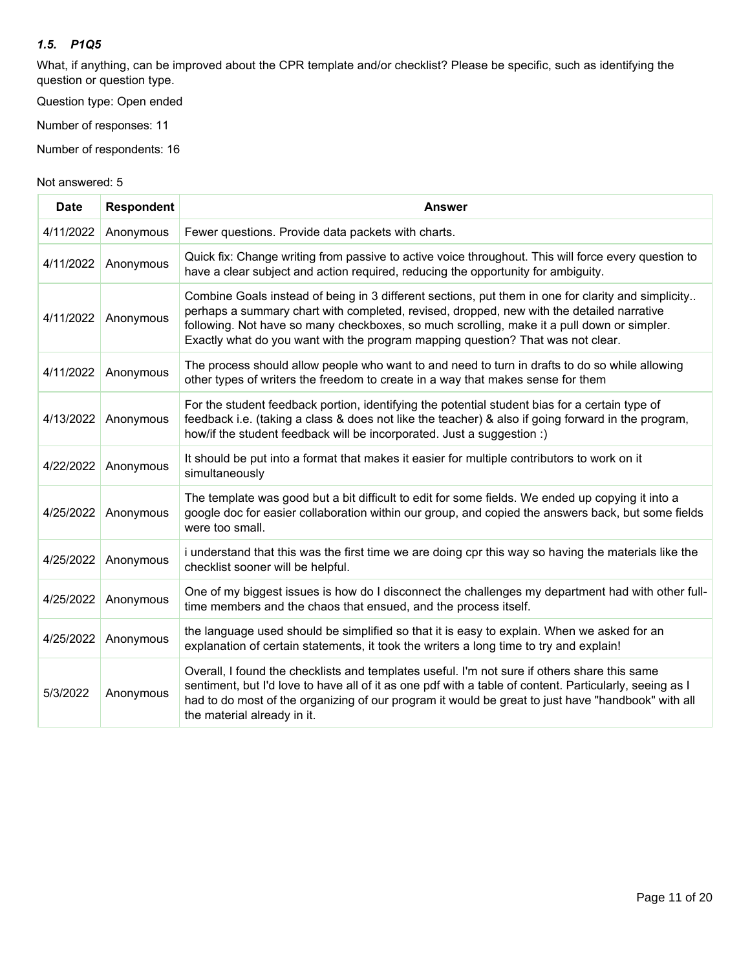#### *1.5. P1Q5*

What, if anything, can be improved about the CPR template and/or checklist? Please be specific, such as identifying the question or question type.

Question type: Open ended

Number of responses: 11

Number of respondents: 16

| <b>Date</b> | <b>Respondent</b> | <b>Answer</b>                                                                                                                                                                                                                                                                                                                                                                    |
|-------------|-------------------|----------------------------------------------------------------------------------------------------------------------------------------------------------------------------------------------------------------------------------------------------------------------------------------------------------------------------------------------------------------------------------|
| 4/11/2022   | Anonymous         | Fewer questions. Provide data packets with charts.                                                                                                                                                                                                                                                                                                                               |
| 4/11/2022   | Anonymous         | Quick fix: Change writing from passive to active voice throughout. This will force every question to<br>have a clear subject and action required, reducing the opportunity for ambiguity.                                                                                                                                                                                        |
| 4/11/2022   | Anonymous         | Combine Goals instead of being in 3 different sections, put them in one for clarity and simplicity<br>perhaps a summary chart with completed, revised, dropped, new with the detailed narrative<br>following. Not have so many checkboxes, so much scrolling, make it a pull down or simpler.<br>Exactly what do you want with the program mapping question? That was not clear. |
| 4/11/2022   | Anonymous         | The process should allow people who want to and need to turn in drafts to do so while allowing<br>other types of writers the freedom to create in a way that makes sense for them                                                                                                                                                                                                |
| 4/13/2022   | Anonymous         | For the student feedback portion, identifying the potential student bias for a certain type of<br>feedback i.e. (taking a class & does not like the teacher) & also if going forward in the program,<br>how/if the student feedback will be incorporated. Just a suggestion :)                                                                                                   |
| 4/22/2022   | Anonymous         | It should be put into a format that makes it easier for multiple contributors to work on it<br>simultaneously                                                                                                                                                                                                                                                                    |
| 4/25/2022   | Anonymous         | The template was good but a bit difficult to edit for some fields. We ended up copying it into a<br>google doc for easier collaboration within our group, and copied the answers back, but some fields<br>were too small.                                                                                                                                                        |
| 4/25/2022   | Anonymous         | i understand that this was the first time we are doing cpr this way so having the materials like the<br>checklist sooner will be helpful.                                                                                                                                                                                                                                        |
| 4/25/2022   | Anonymous         | One of my biggest issues is how do I disconnect the challenges my department had with other full-<br>time members and the chaos that ensued, and the process itself.                                                                                                                                                                                                             |
| 4/25/2022   | Anonymous         | the language used should be simplified so that it is easy to explain. When we asked for an<br>explanation of certain statements, it took the writers a long time to try and explain!                                                                                                                                                                                             |
| 5/3/2022    | Anonymous         | Overall, I found the checklists and templates useful. I'm not sure if others share this same<br>sentiment, but I'd love to have all of it as one pdf with a table of content. Particularly, seeing as I<br>had to do most of the organizing of our program it would be great to just have "handbook" with all<br>the material already in it.                                     |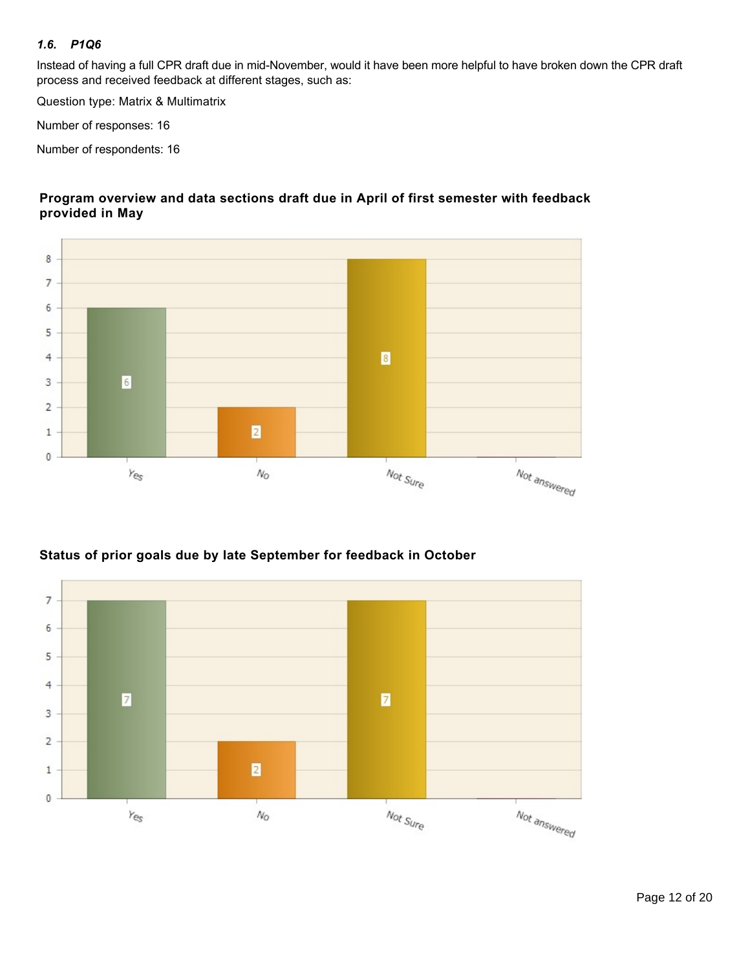#### *1.6. P1Q6*

Instead of having a full CPR draft due in mid-November, would it have been more helpful to have broken down the CPR draft process and received feedback at different stages, such as:

Question type: Matrix & Multimatrix

Number of responses: 16

Number of respondents: 16



#### **Program overview and data sections draft due in April of first semester with feedback provided in May**

### **Status of prior goals due by late September for feedback in October**

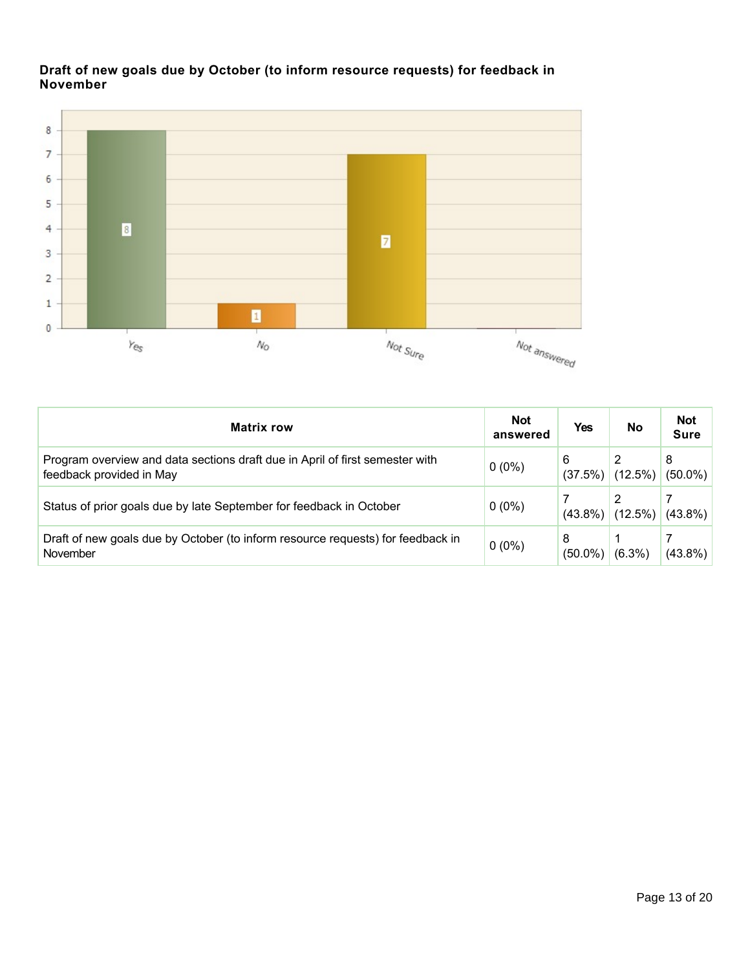### **Draft of new goals due by October (to inform resource requests) for feedback in November**



| <b>Matrix row</b>                                                                                        | <b>Not</b><br>answered | <b>Yes</b>      | No         | <b>Not</b><br><b>Sure</b> |
|----------------------------------------------------------------------------------------------------------|------------------------|-----------------|------------|---------------------------|
| Program overview and data sections draft due in April of first semester with<br>feedback provided in May | $0(0\%)$               | 6<br>(37.5%)    | $(12.5\%)$ | 8<br>$(50.0\%)$           |
| Status of prior goals due by late September for feedback in October                                      | $0(0\%)$               | $(43.8\%)$      | $(12.5\%)$ | $(43.8\%)$                |
| Draft of new goals due by October (to inform resource requests) for feedback in<br>November              | $0(0\%)$               | 8<br>$(50.0\%)$ | $(6.3\%)$  | $(43.8\%)$                |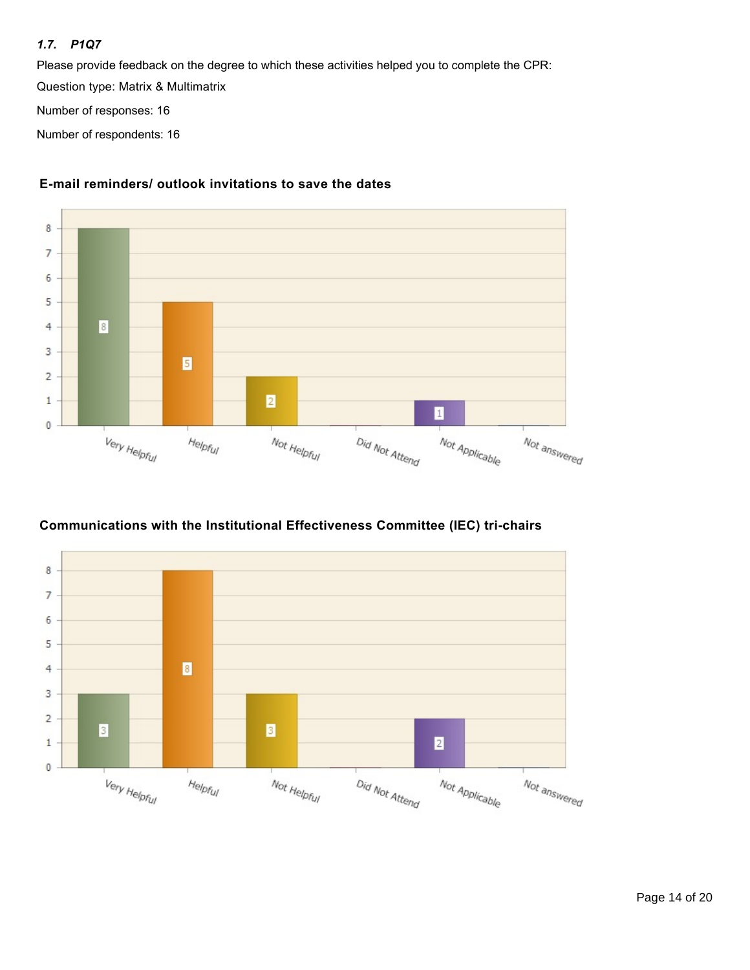### *1.7. P1Q7*

Please provide feedback on the degree to which these activities helped you to complete the CPR:

Question type: Matrix & Multimatrix

Number of responses: 16

Number of respondents: 16



#### **E-mail reminders/ outlook invitations to save the dates**

## **Communications with the Institutional Effectiveness Committee (IEC) tri-chairs**

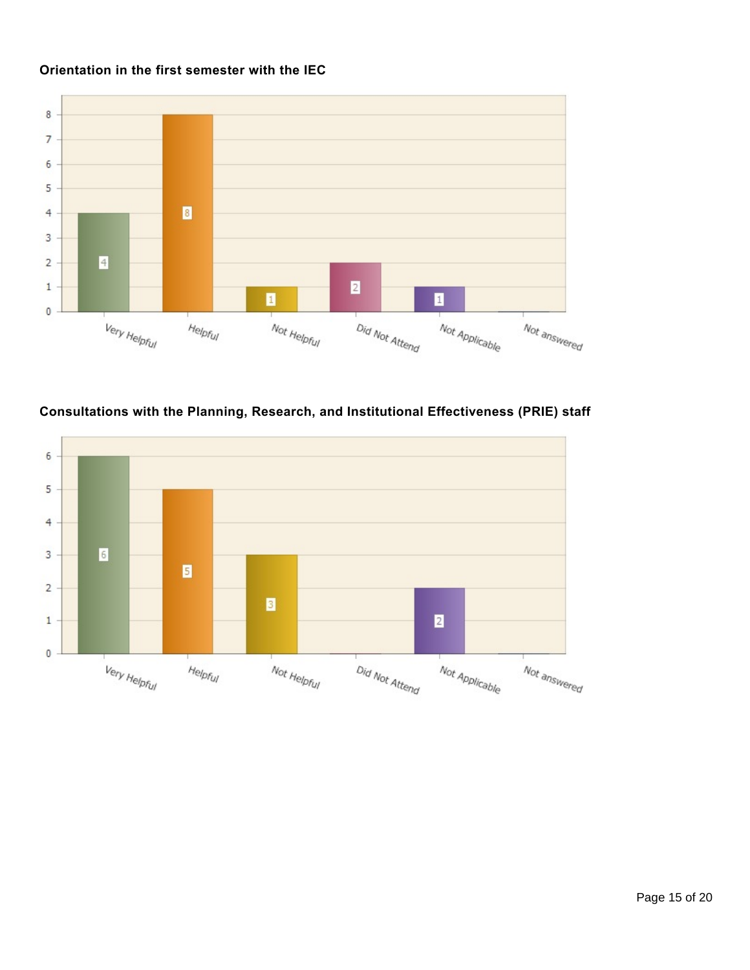## **Orientation in the first semester with the IEC**



## **Consultations with the Planning, Research, and Institutional Effectiveness (PRIE) staff**

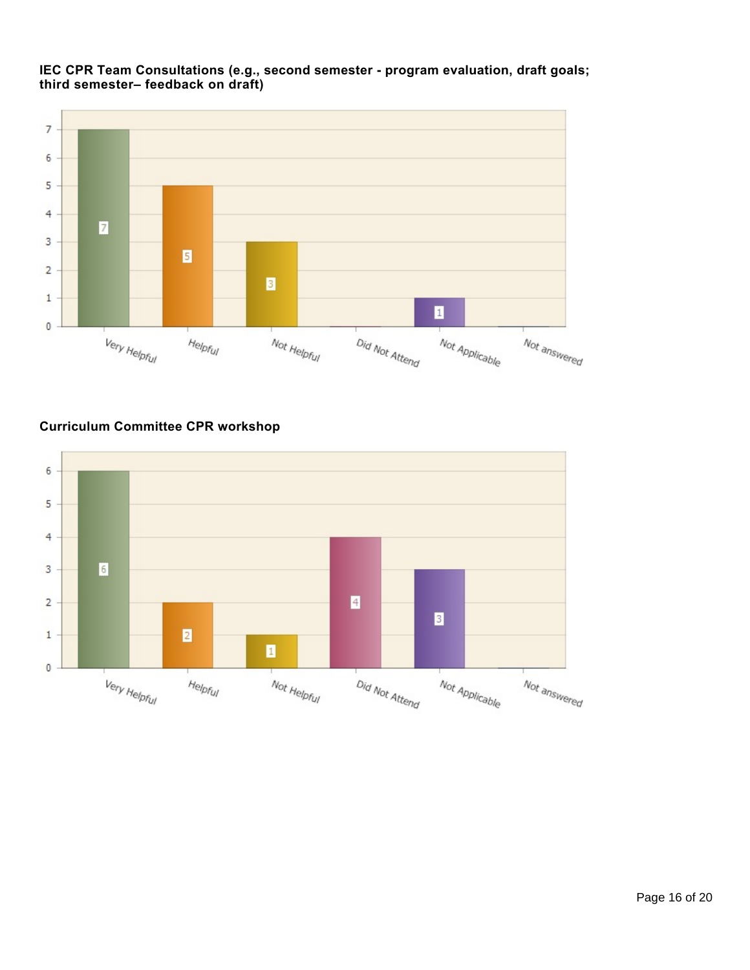

### **IEC CPR Team Consultations (e.g., second semester - program evaluation, draft goals; third semester– feedback on draft)**

# **Curriculum Committee CPR workshop**

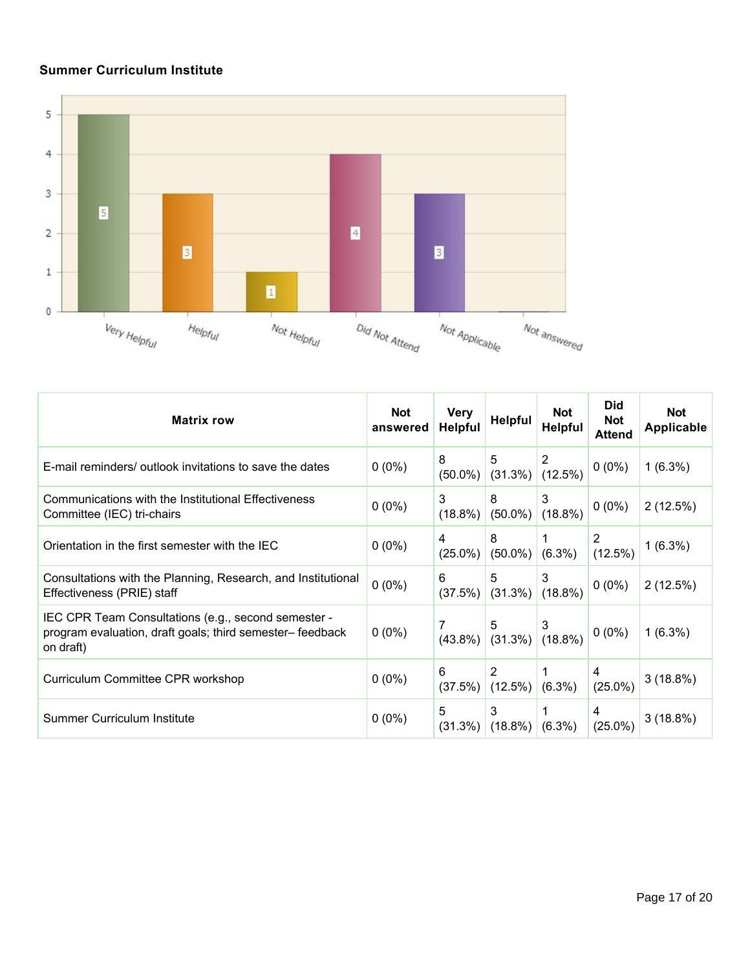# **Summer Curriculum Institute**



| <b>Matrix row</b>                                                                                                             | <b>Not</b><br>answered | <b>Very</b><br><b>Helpful</b> | <b>Helpful</b>             | <b>Not</b><br>Helpful | <b>Did</b><br><b>Not</b><br><b>Attend</b> | <b>Not</b><br><b>Applicable</b> |
|-------------------------------------------------------------------------------------------------------------------------------|------------------------|-------------------------------|----------------------------|-----------------------|-------------------------------------------|---------------------------------|
| E-mail reminders/ outlook invitations to save the dates                                                                       | $0(0\%)$               | 8<br>$(50.0\%)$               | 5<br>$(31.3\%)$            | 2<br>$(12.5\%)$       | $0(0\%)$                                  | $1(6.3\%)$                      |
| Communications with the Institutional Effectiveness<br>Committee (IEC) tri-chairs                                             | $0(0\%)$               | 3<br>$(18.8\%)$               | 8<br>$(50.0\%)$            | 3<br>$(18.8\%)$       | $0(0\%)$                                  | 2(12.5%)                        |
| Orientation in the first semester with the IEC                                                                                | $0(0\%)$               | 4<br>$(25.0\%)$               | 8<br>$(50.0\%)$            | $(6.3\%)$             | 2<br>$(12.5\%)$                           | $1(6.3\%)$                      |
| Consultations with the Planning, Research, and Institutional<br>Effectiveness (PRIE) staff                                    | $0(0\%)$               | 6<br>$(37.5\%)$               | 5<br>(31.3%)               | 3<br>$(18.8\%)$       | $0(0\%)$                                  | 2(12.5%)                        |
| IEC CPR Team Consultations (e.g., second semester -<br>program evaluation, draft goals; third semester– feedback<br>on draft) | $0(0\%)$               | 7                             | 5<br>$(43.8\%)$ $(31.3\%)$ | 3<br>$(18.8\%)$       | $0(0\%)$                                  | $1(6.3\%)$                      |
| Curriculum Committee CPR workshop                                                                                             | $0(0\%)$               | 6<br>(37.5%)                  | 2<br>$(12.5\%)$            | $(6.3\%)$             | 4<br>$(25.0\%)$                           | 3(18.8%)                        |
| Summer Curriculum Institute                                                                                                   | $0(0\%)$               | 5<br>$(31.3\%)$               | 3<br>$(18.8\%)$            | $(6.3\%)$             | 4<br>$(25.0\%)$                           | $3(18.8\%)$                     |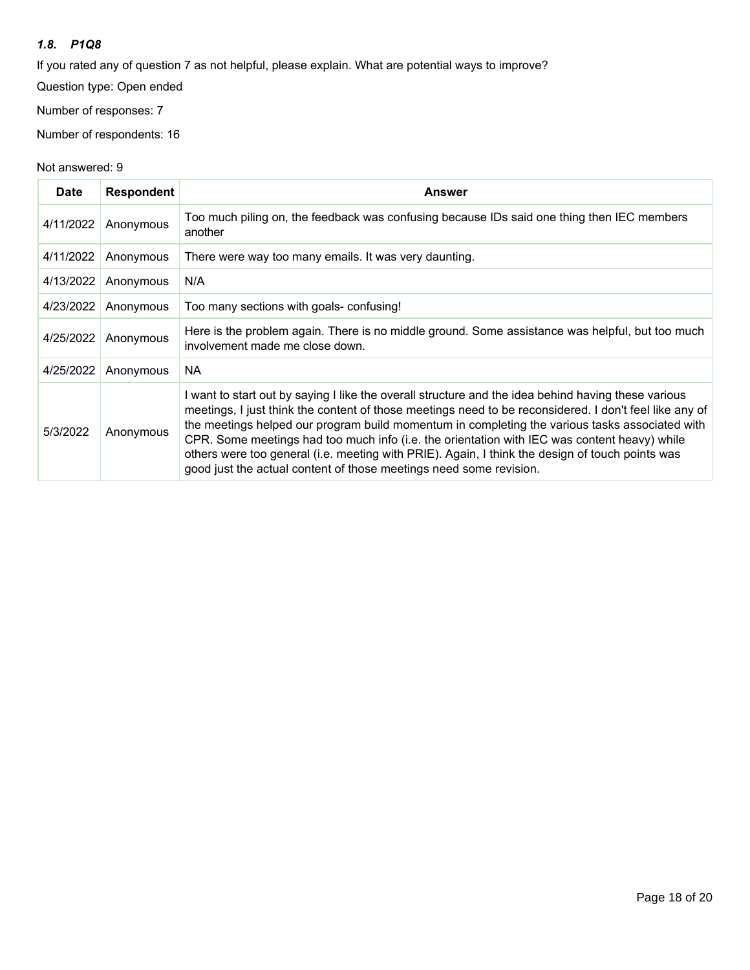#### *1.8. P1Q8*

If you rated any of question 7 as not helpful, please explain. What are potential ways to improve?

Question type: Open ended

Number of responses: 7

Number of respondents: 16

| <b>Date</b> | <b>Respondent</b> | Answer                                                                                                                                                                                                                                                                                                                                                                                                                                                                                                                                                                                   |
|-------------|-------------------|------------------------------------------------------------------------------------------------------------------------------------------------------------------------------------------------------------------------------------------------------------------------------------------------------------------------------------------------------------------------------------------------------------------------------------------------------------------------------------------------------------------------------------------------------------------------------------------|
| 4/11/2022   | Anonymous         | Too much piling on, the feedback was confusing because IDs said one thing then IEC members<br>another                                                                                                                                                                                                                                                                                                                                                                                                                                                                                    |
| 4/11/2022   | Anonymous         | There were way too many emails. It was very daunting.                                                                                                                                                                                                                                                                                                                                                                                                                                                                                                                                    |
| 4/13/2022   | Anonymous         | N/A                                                                                                                                                                                                                                                                                                                                                                                                                                                                                                                                                                                      |
| 4/23/2022   | Anonymous         | Too many sections with goals- confusing!                                                                                                                                                                                                                                                                                                                                                                                                                                                                                                                                                 |
| 4/25/2022   | Anonymous         | Here is the problem again. There is no middle ground. Some assistance was helpful, but too much<br>involvement made me close down.                                                                                                                                                                                                                                                                                                                                                                                                                                                       |
| 4/25/2022   | Anonymous         | NA.                                                                                                                                                                                                                                                                                                                                                                                                                                                                                                                                                                                      |
| 5/3/2022    | Anonymous         | I want to start out by saying I like the overall structure and the idea behind having these various<br>meetings, I just think the content of those meetings need to be reconsidered. I don't feel like any of<br>the meetings helped our program build momentum in completing the various tasks associated with<br>CPR. Some meetings had too much info (i.e. the orientation with IEC was content heavy) while<br>others were too general (i.e. meeting with PRIE). Again, I think the design of touch points was<br>good just the actual content of those meetings need some revision. |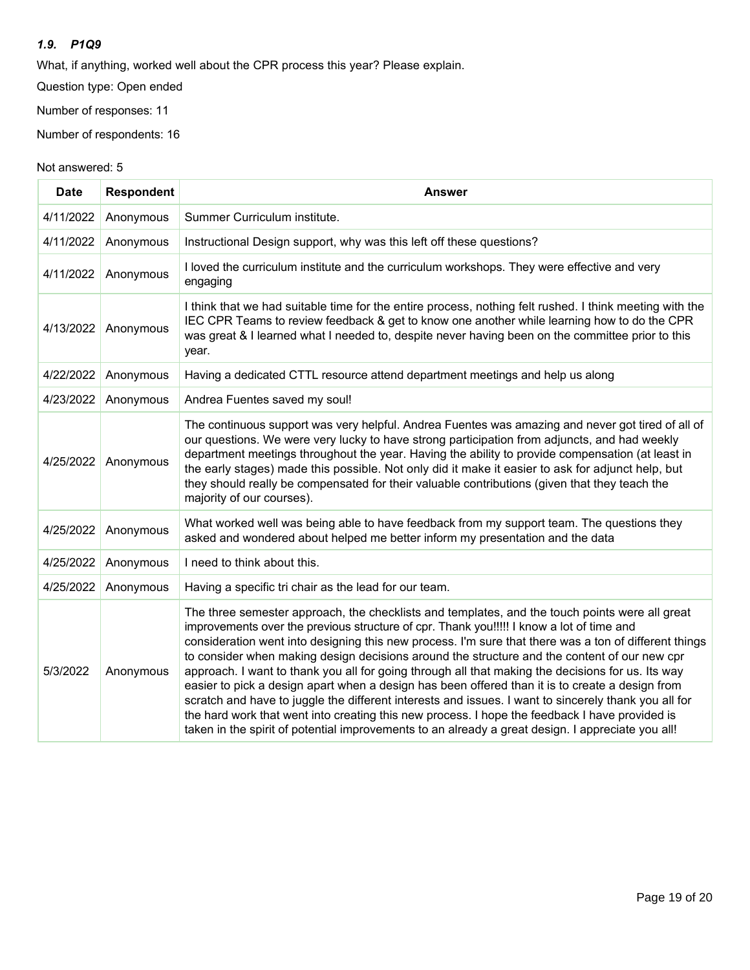#### *1.9. P1Q9*

What, if anything, worked well about the CPR process this year? Please explain.

Question type: Open ended

Number of responses: 11

Number of respondents: 16

| <b>Date</b> | <b>Respondent</b> | <b>Answer</b>                                                                                                                                                                                                                                                                                                                                                                                                                                                                                                                                                                                                                                                                                                                                                                                                                                                                                                              |
|-------------|-------------------|----------------------------------------------------------------------------------------------------------------------------------------------------------------------------------------------------------------------------------------------------------------------------------------------------------------------------------------------------------------------------------------------------------------------------------------------------------------------------------------------------------------------------------------------------------------------------------------------------------------------------------------------------------------------------------------------------------------------------------------------------------------------------------------------------------------------------------------------------------------------------------------------------------------------------|
| 4/11/2022   | Anonymous         | Summer Curriculum institute.                                                                                                                                                                                                                                                                                                                                                                                                                                                                                                                                                                                                                                                                                                                                                                                                                                                                                               |
| 4/11/2022   | Anonymous         | Instructional Design support, why was this left off these questions?                                                                                                                                                                                                                                                                                                                                                                                                                                                                                                                                                                                                                                                                                                                                                                                                                                                       |
| 4/11/2022   | Anonymous         | I loved the curriculum institute and the curriculum workshops. They were effective and very<br>engaging                                                                                                                                                                                                                                                                                                                                                                                                                                                                                                                                                                                                                                                                                                                                                                                                                    |
| 4/13/2022   | Anonymous         | I think that we had suitable time for the entire process, nothing felt rushed. I think meeting with the<br>IEC CPR Teams to review feedback & get to know one another while learning how to do the CPR<br>was great & I learned what I needed to, despite never having been on the committee prior to this<br>year.                                                                                                                                                                                                                                                                                                                                                                                                                                                                                                                                                                                                        |
| 4/22/2022   | Anonymous         | Having a dedicated CTTL resource attend department meetings and help us along                                                                                                                                                                                                                                                                                                                                                                                                                                                                                                                                                                                                                                                                                                                                                                                                                                              |
| 4/23/2022   | Anonymous         | Andrea Fuentes saved my soul!                                                                                                                                                                                                                                                                                                                                                                                                                                                                                                                                                                                                                                                                                                                                                                                                                                                                                              |
| 4/25/2022   | Anonymous         | The continuous support was very helpful. Andrea Fuentes was amazing and never got tired of all of<br>our questions. We were very lucky to have strong participation from adjuncts, and had weekly<br>department meetings throughout the year. Having the ability to provide compensation (at least in<br>the early stages) made this possible. Not only did it make it easier to ask for adjunct help, but<br>they should really be compensated for their valuable contributions (given that they teach the<br>majority of our courses).                                                                                                                                                                                                                                                                                                                                                                                   |
| 4/25/2022   | Anonymous         | What worked well was being able to have feedback from my support team. The questions they<br>asked and wondered about helped me better inform my presentation and the data                                                                                                                                                                                                                                                                                                                                                                                                                                                                                                                                                                                                                                                                                                                                                 |
| 4/25/2022   | Anonymous         | I need to think about this.                                                                                                                                                                                                                                                                                                                                                                                                                                                                                                                                                                                                                                                                                                                                                                                                                                                                                                |
| 4/25/2022   | Anonymous         | Having a specific tri chair as the lead for our team.                                                                                                                                                                                                                                                                                                                                                                                                                                                                                                                                                                                                                                                                                                                                                                                                                                                                      |
| 5/3/2022    | Anonymous         | The three semester approach, the checklists and templates, and the touch points were all great<br>improvements over the previous structure of cpr. Thank you!!!!! I know a lot of time and<br>consideration went into designing this new process. I'm sure that there was a ton of different things<br>to consider when making design decisions around the structure and the content of our new cpr<br>approach. I want to thank you all for going through all that making the decisions for us. Its way<br>easier to pick a design apart when a design has been offered than it is to create a design from<br>scratch and have to juggle the different interests and issues. I want to sincerely thank you all for<br>the hard work that went into creating this new process. I hope the feedback I have provided is<br>taken in the spirit of potential improvements to an already a great design. I appreciate you all! |